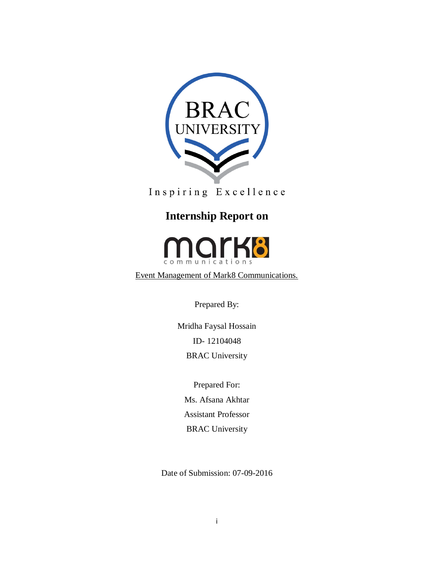

Inspiring Excellence

# **Internship Report on**



Event Management of Mark8 Communications.

Prepared By:

Mridha Faysal Hossain ID- 12104048 BRAC University

Prepared For: Ms. Afsana Akhtar Assistant Professor BRAC University

Date of Submission: 07-09-2016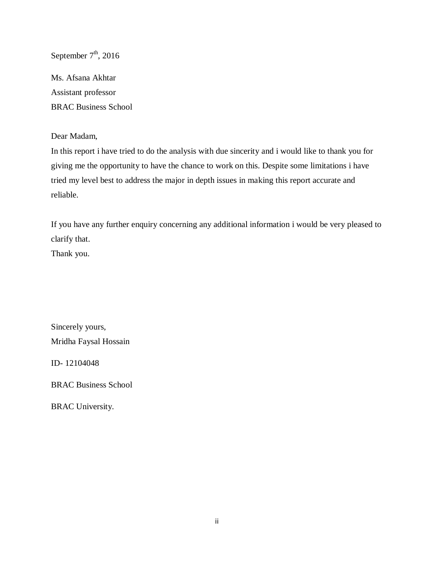September  $7<sup>th</sup>$ , 2016

Ms. Afsana Akhtar Assistant professor BRAC Business School

Dear Madam,

In this report i have tried to do the analysis with due sincerity and i would like to thank you for giving me the opportunity to have the chance to work on this. Despite some limitations i have tried my level best to address the major in depth issues in making this report accurate and reliable.

If you have any further enquiry concerning any additional information i would be very pleased to clarify that.

Thank you.

Sincerely yours, Mridha Faysal Hossain

ID- 12104048

BRAC Business School

BRAC University.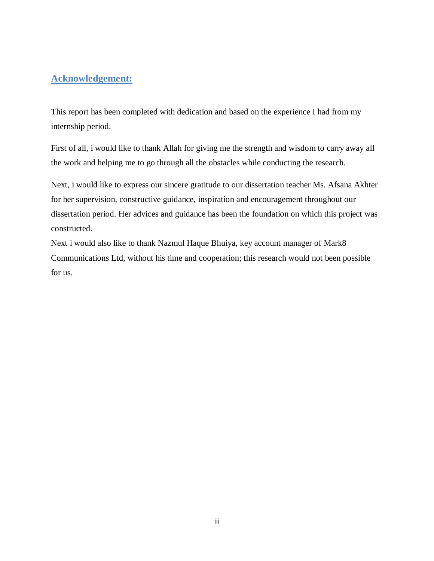# **Acknowledgement:**

This report has been completed with dedication and based on the experience I had from my internship period.

First of all, i would like to thank Allah for giving me the strength and wisdom to carry away all the work and helping me to go through all the obstacles while conducting the research.

Next, i would like to express our sincere gratitude to our dissertation teacher Ms. Afsana Akhter for her supervision, constructive guidance, inspiration and encouragement throughout our dissertation period. Her advices and guidance has been the foundation on which this project was constructed.

Next i would also like to thank Nazmul Haque Bhuiya, key account manager of Mark8 Communications Ltd, without his time and cooperation; this research would not been possible for us.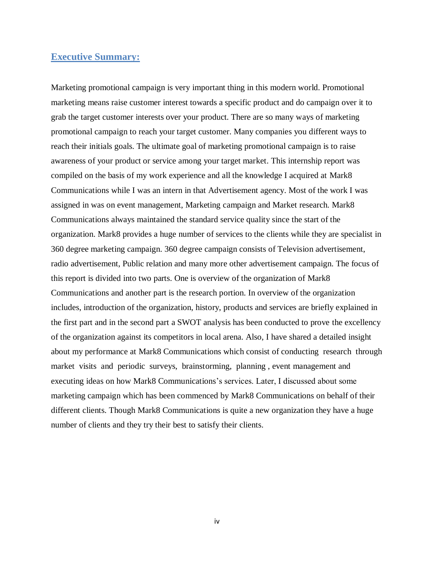## <span id="page-3-0"></span>**Executive Summary:**

Marketing promotional campaign is very important thing in this modern world. Promotional marketing means raise customer interest towards a specific product and do campaign over it to grab the target customer interests over your product. There are so many ways of marketing promotional campaign to reach your target customer. Many companies you different ways to reach their initials goals. The ultimate goal of marketing promotional campaign is to raise awareness of your product or service among your target market. This internship report was compiled on the basis of my work experience and all the knowledge I acquired at Mark8 Communications while I was an intern in that Advertisement agency. Most of the work I was assigned in was on event management, Marketing campaign and Market research. Mark8 Communications always maintained the standard service quality since the start of the organization. Mark8 provides a huge number of services to the clients while they are specialist in 360 degree marketing campaign. 360 degree campaign consists of Television advertisement, radio advertisement, Public relation and many more other advertisement campaign. The focus of this report is divided into two parts. One is overview of the organization of Mark8 Communications and another part is the research portion. In overview of the organization includes, introduction of the organization, history, products and services are briefly explained in the first part and in the second part a SWOT analysis has been conducted to prove the excellency of the organization against its competitors in local arena. Also, I have shared a detailed insight about my performance at Mark8 Communications which consist of conducting research through market visits and periodic surveys, brainstorming, planning , event management and executing ideas on how Mark8 Communications's services. Later, I discussed about some marketing campaign which has been commenced by Mark8 Communications on behalf of their different clients. Though Mark8 Communications is quite a new organization they have a huge number of clients and they try their best to satisfy their clients.

iv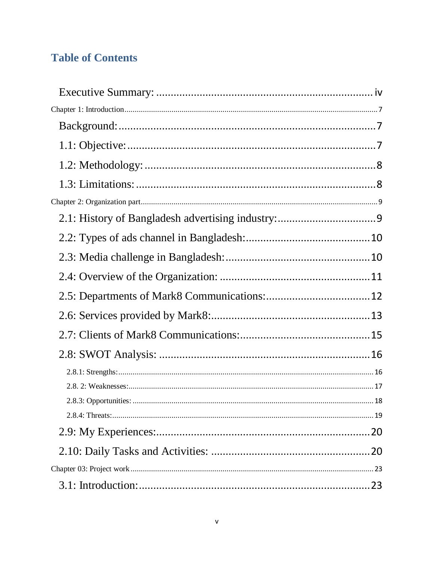# **Table of Contents**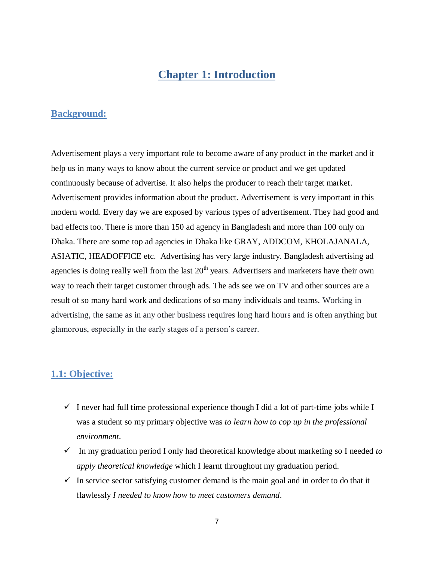# **Chapter 1: Introduction**

## <span id="page-6-1"></span><span id="page-6-0"></span>**Background:**

Advertisement plays a very important role to become aware of any product in the market and it help us in many ways to know about the current service or product and we get updated continuously because of advertise. It also helps the producer to reach their target market. Advertisement provides information about the product. Advertisement is very important in this modern world. Every day we are exposed by various types of advertisement. They had good and bad effects too. There is more than 150 ad agency in Bangladesh and more than 100 only on Dhaka. There are some top ad agencies in Dhaka like GRAY, ADDCOM, KHOLAJANALA, ASIATIC, HEADOFFICE etc. Advertising has very large industry. Bangladesh advertising ad agencies is doing really well from the last  $20<sup>th</sup>$  years. Advertisers and marketers have their own way to reach their target customer through ads. The ads see we on TV and other sources are a result of so many hard work and dedications of so many individuals and teams. Working in advertising, the same as in any other business requires long hard hours and is often anything but glamorous, especially in the early stages of a person's career.

## <span id="page-6-2"></span>**1.1: Objective:**

- $\checkmark$  I never had full time professional experience though I did a lot of part-time jobs while I was a student so my primary objective was *to learn how to cop up in the professional environment*.
- $\checkmark$  In my graduation period I only had theoretical knowledge about marketing so I needed *to apply theoretical knowledge* which I learnt throughout my graduation period.
- $\checkmark$  In service sector satisfying customer demand is the main goal and in order to do that it flawlessly *I needed to know how to meet customers demand*.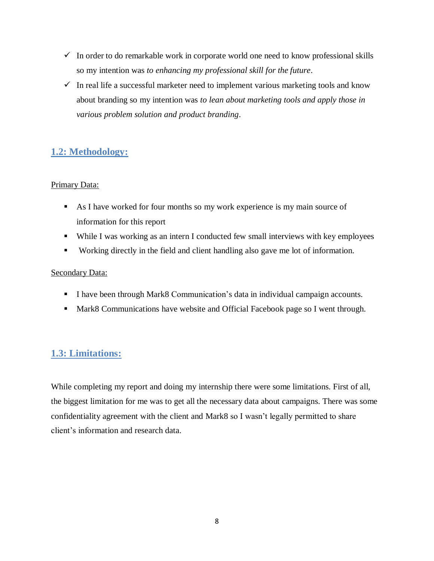- $\checkmark$  In order to do remarkable work in corporate world one need to know professional skills so my intention was *to enhancing my professional skill for the future*.
- $\checkmark$  In real life a successful marketer need to implement various marketing tools and know about branding so my intention was *to lean about marketing tools and apply those in various problem solution and product branding*.

# <span id="page-7-0"></span>**1.2: Methodology:**

## Primary Data:

- As I have worked for four months so my work experience is my main source of information for this report
- While I was working as an intern I conducted few small interviews with key employees
- Working directly in the field and client handling also gave me lot of information.

## Secondary Data:

- I have been through Mark8 Communication's data in individual campaign accounts.
- Mark8 Communications have website and Official Facebook page so I went through.

# <span id="page-7-1"></span>**1.3: Limitations:**

While completing my report and doing my internship there were some limitations. First of all, the biggest limitation for me was to get all the necessary data about campaigns. There was some confidentiality agreement with the client and Mark8 so I wasn't legally permitted to share client's information and research data.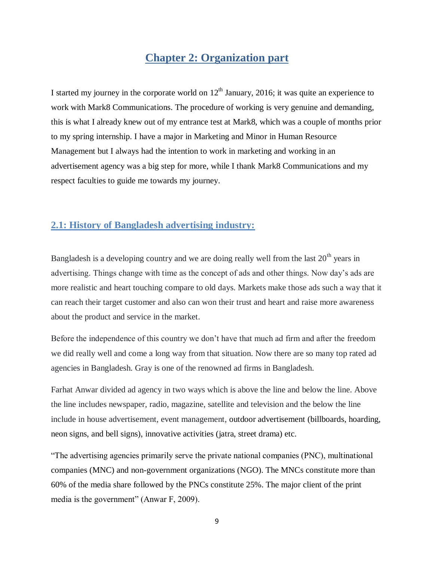# **Chapter 2: Organization part**

<span id="page-8-0"></span>I started my journey in the corporate world on  $12<sup>th</sup>$  January, 2016; it was quite an experience to work with Mark8 Communications. The procedure of working is very genuine and demanding, this is what I already knew out of my entrance test at Mark8, which was a couple of months prior to my spring internship. I have a major in Marketing and Minor in Human Resource Management but I always had the intention to work in marketing and working in an advertisement agency was a big step for more, while I thank Mark8 Communications and my respect faculties to guide me towards my journey.

## <span id="page-8-1"></span>**2.1: History of Bangladesh advertising industry:**

Bangladesh is a developing country and we are doing really well from the last  $20<sup>th</sup>$  years in advertising. Things change with time as the concept of ads and other things. Now day's ads are more realistic and heart touching compare to old days. Markets make those ads such a way that it can reach their target customer and also can won their trust and heart and raise more awareness about the product and service in the market.

Before the independence of this country we don't have that much ad firm and after the freedom we did really well and come a long way from that situation. Now there are so many top rated ad agencies in Bangladesh. Gray is one of the renowned ad firms in Bangladesh.

Farhat Anwar divided ad agency in two ways which is above the line and below the line. Above the line includes newspaper, radio, magazine, satellite and television and the below the line include in house advertisement, event management, outdoor advertisement (billboards, hoarding, neon signs, and bell signs), innovative activities (jatra, street drama) etc.

"The advertising agencies primarily serve the private national companies (PNC), multinational companies (MNC) and non-government organizations (NGO). The MNCs constitute more than 60% of the media share followed by the PNCs constitute 25%. The major client of the print media is the government" (Anwar F, 2009).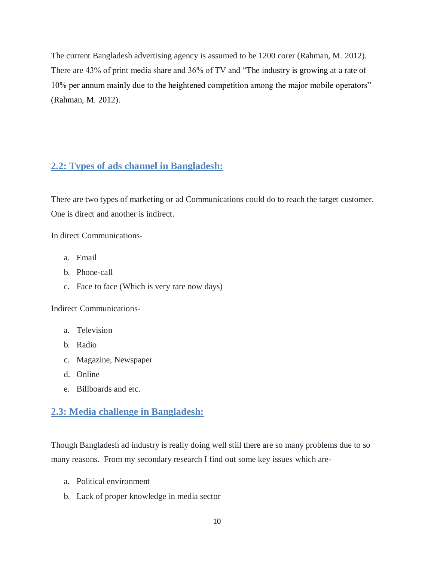The current Bangladesh advertising agency is assumed to be 1200 corer (Rahman, M. 2012). There are 43% of print media share and 36% of TV and "The industry is growing at a rate of 10% per annum mainly due to the heightened competition among the major mobile operators" (Rahman, M. 2012).

# <span id="page-9-0"></span>**2.2: Types of ads channel in Bangladesh:**

There are two types of marketing or ad Communications could do to reach the target customer. One is direct and another is indirect.

In direct Communications-

- a. Email
- b. Phone-call
- c. Face to face (Which is very rare now days)

Indirect Communications-

- a. Television
- b. Radio
- c. Magazine, Newspaper
- d. Online
- e. Billboards and etc.

# <span id="page-9-1"></span>**2.3: Media challenge in Bangladesh:**

Though Bangladesh ad industry is really doing well still there are so many problems due to so many reasons. From my secondary research I find out some key issues which are-

- a. Political environment
- b. Lack of proper knowledge in media sector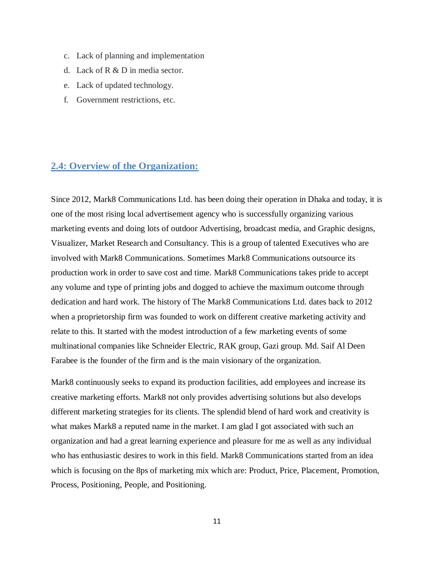- c. Lack of planning and implementation
- d. Lack of R & D in media sector.
- e. Lack of updated technology.
- f. Government restrictions, etc.

## <span id="page-10-0"></span>**2.4: Overview of the Organization:**

Since 2012, Mark8 Communications Ltd. has been doing their operation in Dhaka and today, it is one of the most rising local advertisement agency who is successfully organizing various marketing events and doing lots of outdoor Advertising, broadcast media, and Graphic designs, Visualizer, Market Research and Consultancy. This is a group of talented Executives who are involved with Mark8 Communications. Sometimes Mark8 Communications outsource its production work in order to save cost and time. Mark8 Communications takes pride to accept any volume and type of printing jobs and dogged to achieve the maximum outcome through dedication and hard work. The history of The Mark8 Communications Ltd. dates back to 2012 when a proprietorship firm was founded to work on different creative marketing activity and relate to this. It started with the modest introduction of a few marketing events of some multinational companies like Schneider Electric, RAK group, Gazi group. Md. Saif Al Deen Farabee is the founder of the firm and is the main visionary of the organization.

Mark8 continuously seeks to expand its production facilities, add employees and increase its creative marketing efforts. Mark8 not only provides advertising solutions but also develops different marketing strategies for its clients. The splendid blend of hard work and creativity is what makes Mark8 a reputed name in the market. I am glad I got associated with such an organization and had a great learning experience and pleasure for me as well as any individual who has enthusiastic desires to work in this field. Mark8 Communications started from an idea which is focusing on the 8ps of marketing mix which are: Product, Price, Placement, Promotion, Process, Positioning, People, and Positioning.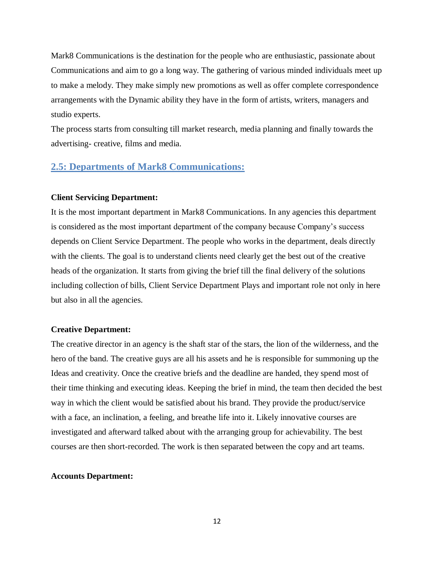Mark8 Communications is the destination for the people who are enthusiastic, passionate about Communications and aim to go a long way. The gathering of various minded individuals meet up to make a melody. They make simply new promotions as well as offer complete correspondence arrangements with the Dynamic ability they have in the form of artists, writers, managers and studio experts.

The process starts from consulting till market research, media planning and finally towards the advertising- creative, films and media.

## <span id="page-11-0"></span>**2.5: Departments of Mark8 Communications:**

#### **Client Servicing Department:**

It is the most important department in Mark8 Communications. In any agencies this department is considered as the most important department of the company because Company's success depends on Client Service Department. The people who works in the department, deals directly with the clients. The goal is to understand clients need clearly get the best out of the creative heads of the organization. It starts from giving the brief till the final delivery of the solutions including collection of bills, Client Service Department Plays and important role not only in here but also in all the agencies.

#### **Creative Department:**

The creative director in an agency is the shaft star of the stars, the lion of the wilderness, and the hero of the band. The creative guys are all his assets and he is responsible for summoning up the Ideas and creativity. Once the creative briefs and the deadline are handed, they spend most of their time thinking and executing ideas. Keeping the brief in mind, the team then decided the best way in which the client would be satisfied about his brand. They provide the product/service with a face, an inclination, a feeling, and breathe life into it. Likely innovative courses are investigated and afterward talked about with the arranging group for achievability. The best courses are then short-recorded. The work is then separated between the copy and art teams.

#### **Accounts Department:**

12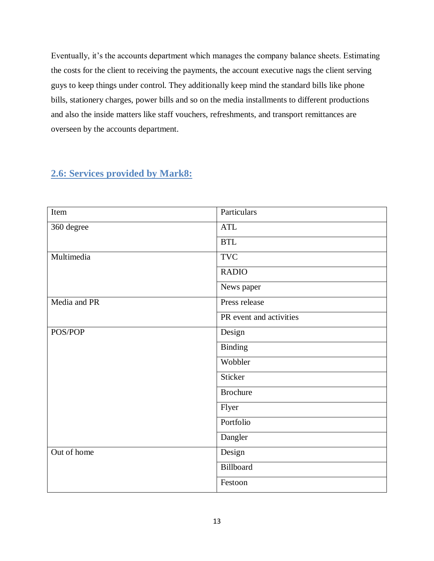Eventually, it's the accounts department which manages the company balance sheets. Estimating the costs for the client to receiving the payments, the account executive nags the client serving guys to keep things under control. They additionally keep mind the standard bills like phone bills, stationery charges, power bills and so on the media installments to different productions and also the inside matters like staff vouchers, refreshments, and transport remittances are overseen by the accounts department.

| Item         | Particulars             |
|--------------|-------------------------|
| 360 degree   | <b>ATL</b>              |
|              | <b>BTL</b>              |
| Multimedia   | <b>TVC</b>              |
|              | <b>RADIO</b>            |
|              | News paper              |
| Media and PR | Press release           |
|              | PR event and activities |
| POS/POP      | Design                  |
|              | <b>Binding</b>          |
|              | Wobbler                 |
|              | Sticker                 |
|              | <b>Brochure</b>         |
|              | Flyer                   |
|              | Portfolio               |
|              | Dangler                 |
| Out of home  | Design                  |
|              | Billboard               |
|              | Festoon                 |

# <span id="page-12-0"></span>**2.6: Services provided by Mark8:**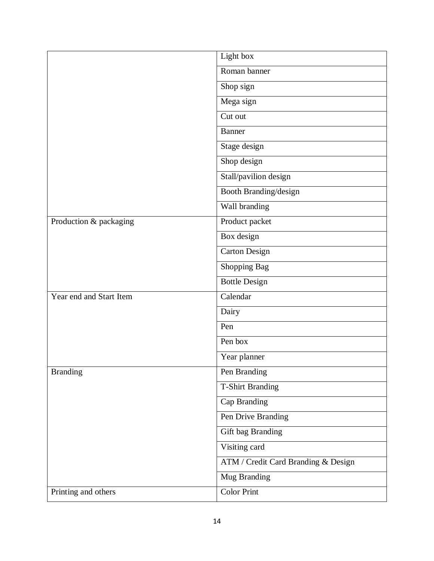|                         | Light box                           |
|-------------------------|-------------------------------------|
|                         | Roman banner                        |
|                         | Shop sign                           |
|                         | Mega sign                           |
|                         | Cut out                             |
|                         | Banner                              |
|                         | Stage design                        |
|                         | Shop design                         |
|                         | Stall/pavilion design               |
|                         | Booth Branding/design               |
|                         | Wall branding                       |
| Production & packaging  | Product packet                      |
|                         | Box design                          |
|                         | <b>Carton Design</b>                |
|                         | Shopping Bag                        |
|                         | <b>Bottle Design</b>                |
| Year end and Start Item | Calendar                            |
|                         | Dairy                               |
|                         | Pen                                 |
|                         | Pen box                             |
|                         | Year planner                        |
| <b>Branding</b>         | Pen Branding                        |
|                         | <b>T-Shirt Branding</b>             |
|                         | Cap Branding                        |
|                         | Pen Drive Branding                  |
|                         | Gift bag Branding                   |
|                         | Visiting card                       |
|                         | ATM / Credit Card Branding & Design |
|                         | Mug Branding                        |
| Printing and others     | <b>Color Print</b>                  |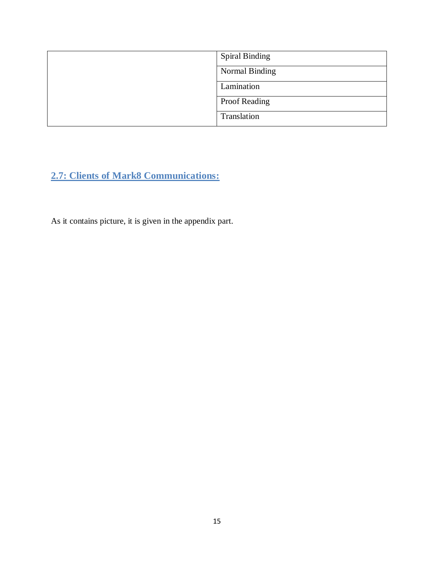| <b>Spiral Binding</b> |
|-----------------------|
| Normal Binding        |
| Lamination            |
| <b>Proof Reading</b>  |
| Translation           |

<span id="page-14-0"></span>**2.7: Clients of Mark8 Communications:**

As it contains picture, it is given in the appendix part.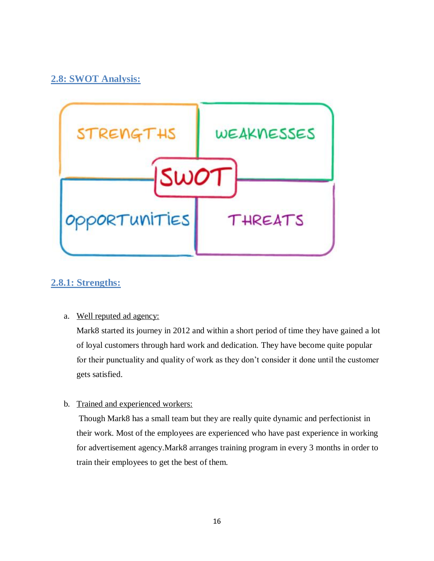# <span id="page-15-0"></span>**2.8: SWOT Analysis:**



# <span id="page-15-1"></span>**2.8.1: Strengths:**

## a. Well reputed ad agency:

Mark8 started its journey in 2012 and within a short period of time they have gained a lot of loyal customers through hard work and dedication. They have become quite popular for their punctuality and quality of work as they don't consider it done until the customer gets satisfied.

## b. Trained and experienced workers:

Though Mark8 has a small team but they are really quite dynamic and perfectionist in their work. Most of the employees are experienced who have past experience in working for advertisement agency.Mark8 arranges training program in every 3 months in order to train their employees to get the best of them.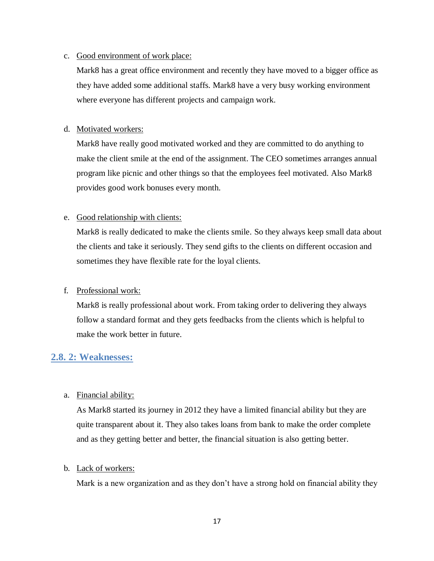#### c. Good environment of work place:

Mark8 has a great office environment and recently they have moved to a bigger office as they have added some additional staffs. Mark8 have a very busy working environment where everyone has different projects and campaign work.

### d. Motivated workers:

Mark8 have really good motivated worked and they are committed to do anything to make the client smile at the end of the assignment. The CEO sometimes arranges annual program like picnic and other things so that the employees feel motivated. Also Mark8 provides good work bonuses every month.

## e. Good relationship with clients:

Mark8 is really dedicated to make the clients smile. So they always keep small data about the clients and take it seriously. They send gifts to the clients on different occasion and sometimes they have flexible rate for the loyal clients.

### f. Professional work:

Mark8 is really professional about work. From taking order to delivering they always follow a standard format and they gets feedbacks from the clients which is helpful to make the work better in future.

## <span id="page-16-0"></span>**2.8. 2: Weaknesses:**

## a. Financial ability:

As Mark8 started its journey in 2012 they have a limited financial ability but they are quite transparent about it. They also takes loans from bank to make the order complete and as they getting better and better, the financial situation is also getting better.

### b. Lack of workers:

Mark is a new organization and as they don't have a strong hold on financial ability they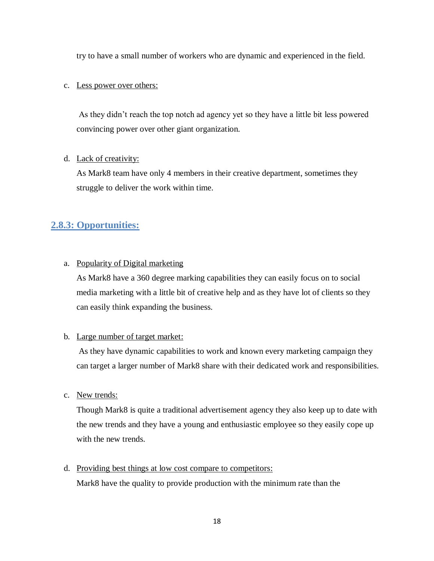try to have a small number of workers who are dynamic and experienced in the field.

#### c. Less power over others:

As they didn't reach the top notch ad agency yet so they have a little bit less powered convincing power over other giant organization.

#### d. Lack of creativity:

As Mark8 team have only 4 members in their creative department, sometimes they struggle to deliver the work within time.

# <span id="page-17-0"></span>**2.8.3: Opportunities:**

### a. Popularity of Digital marketing

As Mark8 have a 360 degree marking capabilities they can easily focus on to social media marketing with a little bit of creative help and as they have lot of clients so they can easily think expanding the business.

### b. Large number of target market:

As they have dynamic capabilities to work and known every marketing campaign they can target a larger number of Mark8 share with their dedicated work and responsibilities.

### c. New trends:

Though Mark8 is quite a traditional advertisement agency they also keep up to date with the new trends and they have a young and enthusiastic employee so they easily cope up with the new trends.

### d. Providing best things at low cost compare to competitors:

Mark8 have the quality to provide production with the minimum rate than the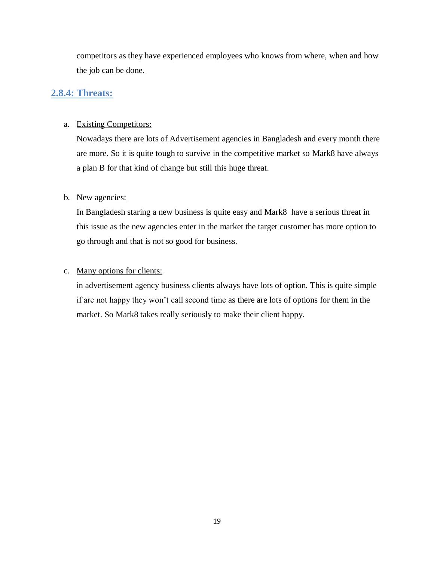competitors as they have experienced employees who knows from where, when and how the job can be done.

## <span id="page-18-0"></span>**2.8.4: Threats:**

#### a. Existing Competitors:

Nowadays there are lots of Advertisement agencies in Bangladesh and every month there are more. So it is quite tough to survive in the competitive market so Mark8 have always a plan B for that kind of change but still this huge threat.

#### b. New agencies:

In Bangladesh staring a new business is quite easy and Mark8 have a serious threat in this issue as the new agencies enter in the market the target customer has more option to go through and that is not so good for business.

#### c. Many options for clients:

in advertisement agency business clients always have lots of option. This is quite simple if are not happy they won't call second time as there are lots of options for them in the market. So Mark8 takes really seriously to make their client happy.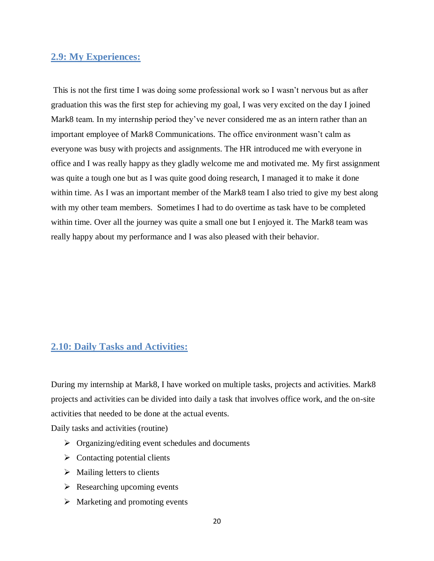## <span id="page-19-0"></span>**2.9: My Experiences:**

This is not the first time I was doing some professional work so I wasn't nervous but as after graduation this was the first step for achieving my goal, I was very excited on the day I joined Mark8 team. In my internship period they've never considered me as an intern rather than an important employee of Mark8 Communications. The office environment wasn't calm as everyone was busy with projects and assignments. The HR introduced me with everyone in office and I was really happy as they gladly welcome me and motivated me. My first assignment was quite a tough one but as I was quite good doing research, I managed it to make it done within time. As I was an important member of the Mark8 team I also tried to give my best along with my other team members. Sometimes I had to do overtime as task have to be completed within time. Over all the journey was quite a small one but I enjoyed it. The Mark8 team was really happy about my performance and I was also pleased with their behavior.

## <span id="page-19-1"></span>**2.10: Daily Tasks and Activities:**

During my internship at Mark8, I have worked on multiple tasks, projects and activities. Mark8 projects and activities can be divided into daily a task that involves office work, and the on-site activities that needed to be done at the actual events.

Daily tasks and activities (routine)

- $\triangleright$  Organizing/editing event schedules and documents
- $\triangleright$  Contacting potential clients
- $\triangleright$  Mailing letters to clients
- $\triangleright$  Researching upcoming events
- $\triangleright$  Marketing and promoting events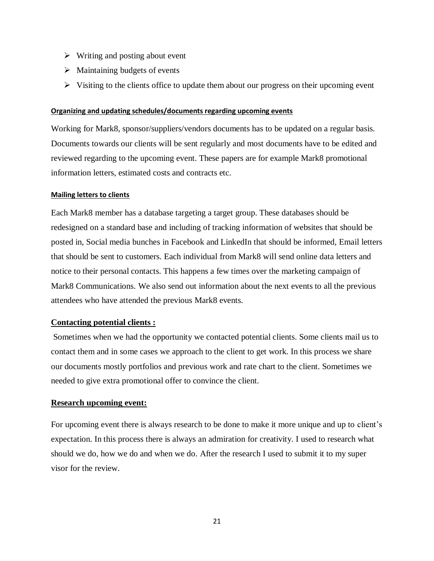- $\triangleright$  Writing and posting about event
- $\triangleright$  Maintaining budgets of events
- $\triangleright$  Visiting to the clients office to update them about our progress on their upcoming event

#### **Organizing and updating schedules/documents regarding upcoming events**

Working for Mark8, sponsor/suppliers/vendors documents has to be updated on a regular basis. Documents towards our clients will be sent regularly and most documents have to be edited and reviewed regarding to the upcoming event. These papers are for example Mark8 promotional information letters, estimated costs and contracts etc.

#### **Mailing letters to clients**

Each Mark8 member has a database targeting a target group. These databases should be redesigned on a standard base and including of tracking information of websites that should be posted in, Social media bunches in Facebook and LinkedIn that should be informed, Email letters that should be sent to customers. Each individual from Mark8 will send online data letters and notice to their personal contacts. This happens a few times over the marketing campaign of Mark8 Communications. We also send out information about the next events to all the previous attendees who have attended the previous Mark8 events.

#### **Contacting potential clients :**

Sometimes when we had the opportunity we contacted potential clients. Some clients mail us to contact them and in some cases we approach to the client to get work. In this process we share our documents mostly portfolios and previous work and rate chart to the client. Sometimes we needed to give extra promotional offer to convince the client.

#### **Research upcoming event:**

For upcoming event there is always research to be done to make it more unique and up to client's expectation. In this process there is always an admiration for creativity. I used to research what should we do, how we do and when we do. After the research I used to submit it to my super visor for the review.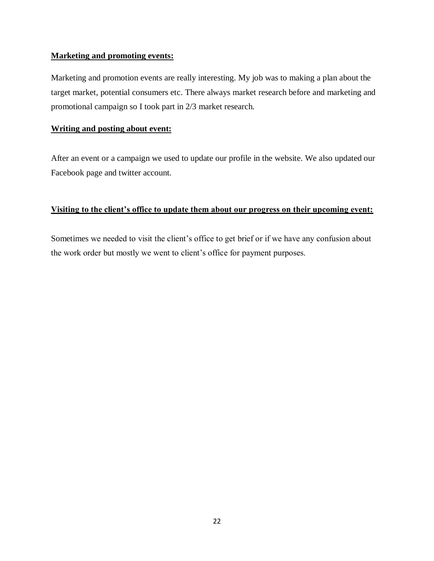### **Marketing and promoting events:**

Marketing and promotion events are really interesting. My job was to making a plan about the target market, potential consumers etc. There always market research before and marketing and promotional campaign so I took part in 2/3 market research.

### **Writing and posting about event:**

After an event or a campaign we used to update our profile in the website. We also updated our Facebook page and twitter account.

## **Visiting to the client's office to update them about our progress on their upcoming event:**

Sometimes we needed to visit the client's office to get brief or if we have any confusion about the work order but mostly we went to client's office for payment purposes.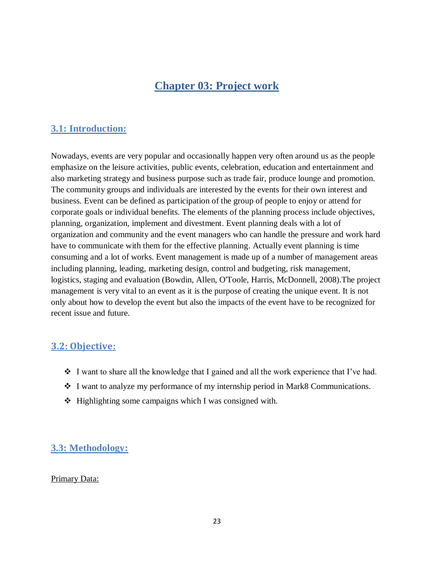# **Chapter 03: Project work**

# <span id="page-22-1"></span><span id="page-22-0"></span>**3.1: Introduction:**

Nowadays, events are very popular and occasionally happen very often around us as the people emphasize on the leisure activities, public events, celebration, education and entertainment and also marketing strategy and business purpose such as trade fair, produce lounge and promotion. The community groups and individuals are interested by the events for their own interest and business. Event can be defined as participation of the group of people to enjoy or attend for corporate goals or individual benefits. The elements of the planning process include objectives, planning, organization, implement and divestment. Event planning deals with a lot of organization and community and the event managers who can handle the pressure and work hard have to communicate with them for the effective planning. Actually event planning is time consuming and a lot of works. Event management is made up of a number of management areas including planning, leading, marketing design, control and budgeting, risk management, logistics, staging and evaluation (Bowdin, Allen, O'Toole, Harris, McDonnell, 2008).The project management is very vital to an event as it is the purpose of creating the unique event. It is not only about how to develop the event but also the impacts of the event have to be recognized for recent issue and future.

# <span id="page-22-2"></span>**3.2: Objective:**

- $\div$  I want to share all the knowledge that I gained and all the work experience that I've had.
- I want to analyze my performance of my internship period in Mark8 Communications.
- $\triangleleft$  Highlighting some campaigns which I was consigned with.

# <span id="page-22-3"></span>**3.3: Methodology:**

### Primary Data: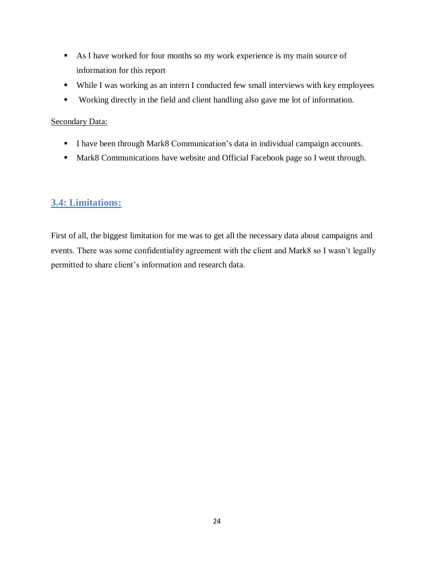- As I have worked for four months so my work experience is my main source of information for this report
- While I was working as an intern I conducted few small interviews with key employees
- Working directly in the field and client handling also gave me lot of information.

## Secondary Data:

- I have been through Mark8 Communication's data in individual campaign accounts.
- Mark8 Communications have website and Official Facebook page so I went through.

# <span id="page-23-0"></span>**3.4: Limitations:**

First of all, the biggest limitation for me was to get all the necessary data about campaigns and events. There was some confidentiality agreement with the client and Mark8 so I wasn't legally permitted to share client's information and research data.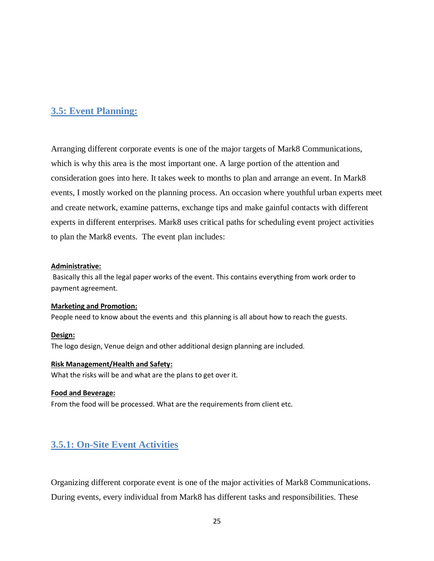## <span id="page-24-0"></span>**3.5: Event Planning:**

Arranging different corporate events is one of the major targets of Mark8 Communications, which is why this area is the most important one. A large portion of the attention and consideration goes into here. It takes week to months to plan and arrange an event. In Mark8 events, I mostly worked on the planning process. An occasion where youthful urban experts meet and create network, examine patterns, exchange tips and make gainful contacts with different experts in different enterprises. Mark8 uses critical paths for scheduling event project activities to plan the Mark8 events. The event plan includes:

#### **Administrative:**

Basically this all the legal paper works of the event. This contains everything from work order to payment agreement.

#### **Marketing and Promotion:**

People need to know about the events and this planning is all about how to reach the guests.

#### **Design:**

The logo design, Venue deign and other additional design planning are included.

#### **Risk Management/Health and Safety:**

What the risks will be and what are the plans to get over it.

#### **Food and Beverage:**

From the food will be processed. What are the requirements from client etc.

## <span id="page-24-1"></span>**3.5.1: On-Site Event Activities**

Organizing different corporate event is one of the major activities of Mark8 Communications. During events, every individual from Mark8 has different tasks and responsibilities. These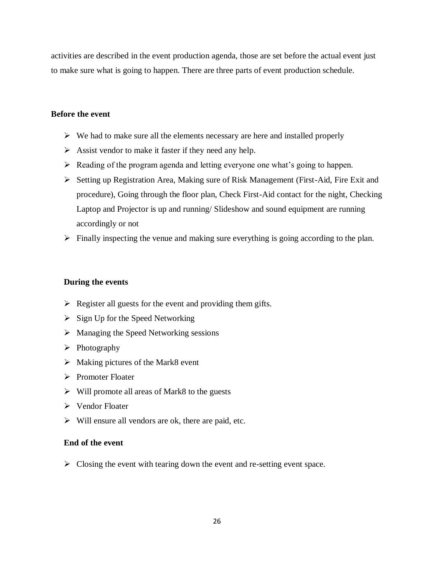activities are described in the event production agenda, those are set before the actual event just to make sure what is going to happen. There are three parts of event production schedule.

#### **Before the event**

- $\triangleright$  We had to make sure all the elements necessary are here and installed properly
- $\triangleright$  Assist vendor to make it faster if they need any help.
- $\triangleright$  Reading of the program agenda and letting everyone one what's going to happen.
- Setting up Registration Area, Making sure of Risk Management (First-Aid, Fire Exit and procedure), Going through the floor plan, Check First-Aid contact for the night, Checking Laptop and Projector is up and running/ Slideshow and sound equipment are running accordingly or not
- $\triangleright$  Finally inspecting the venue and making sure everything is going according to the plan.

#### **During the events**

- $\triangleright$  Register all guests for the event and providing them gifts.
- $\triangleright$  Sign Up for the Speed Networking
- > Managing the Speed Networking sessions
- $\triangleright$  Photography
- $\triangleright$  Making pictures of the Mark8 event
- $\triangleright$  Promoter Floater
- $\triangleright$  Will promote all areas of Mark8 to the guests
- Vendor Floater
- $\triangleright$  Will ensure all vendors are ok, there are paid, etc.

### **End of the event**

 $\triangleright$  Closing the event with tearing down the event and re-setting event space.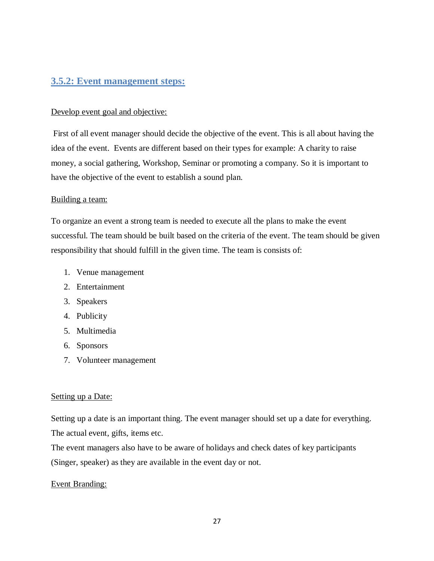## <span id="page-26-0"></span>**3.5.2: Event management steps:**

### Develop event goal and objective:

First of all event manager should decide the objective of the event. This is all about having the idea of the event. Events are different based on their types for example: A charity to raise money, a social gathering, Workshop, Seminar or promoting a company. So it is important to have the objective of the event to establish a sound plan.

### Building a team:

To organize an event a strong team is needed to execute all the plans to make the event successful. The team should be built based on the criteria of the event. The team should be given responsibility that should fulfill in the given time. The team is consists of:

- 1. Venue management
- 2. Entertainment
- 3. Speakers
- 4. Publicity
- 5. Multimedia
- 6. Sponsors
- 7. Volunteer management

### Setting up a Date:

Setting up a date is an important thing. The event manager should set up a date for everything. The actual event, gifts, items etc.

The event managers also have to be aware of holidays and check dates of key participants (Singer, speaker) as they are available in the event day or not.

### Event Branding: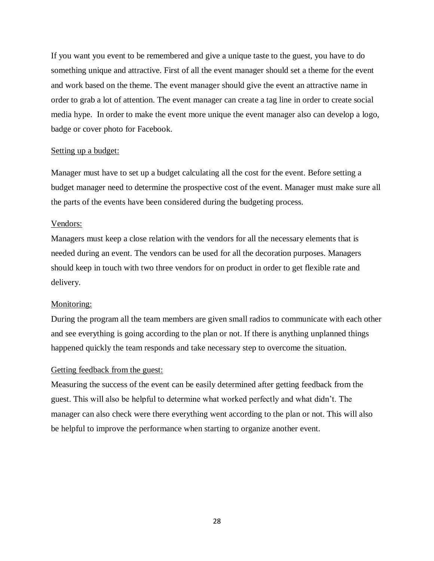If you want you event to be remembered and give a unique taste to the guest, you have to do something unique and attractive. First of all the event manager should set a theme for the event and work based on the theme. The event manager should give the event an attractive name in order to grab a lot of attention. The event manager can create a tag line in order to create social media hype. In order to make the event more unique the event manager also can develop a logo, badge or cover photo for Facebook.

#### Setting up a budget:

Manager must have to set up a budget calculating all the cost for the event. Before setting a budget manager need to determine the prospective cost of the event. Manager must make sure all the parts of the events have been considered during the budgeting process.

#### Vendors:

Managers must keep a close relation with the vendors for all the necessary elements that is needed during an event. The vendors can be used for all the decoration purposes. Managers should keep in touch with two three vendors for on product in order to get flexible rate and delivery.

#### Monitoring:

During the program all the team members are given small radios to communicate with each other and see everything is going according to the plan or not. If there is anything unplanned things happened quickly the team responds and take necessary step to overcome the situation.

#### Getting feedback from the guest:

Measuring the success of the event can be easily determined after getting feedback from the guest. This will also be helpful to determine what worked perfectly and what didn't. The manager can also check were there everything went according to the plan or not. This will also be helpful to improve the performance when starting to organize another event.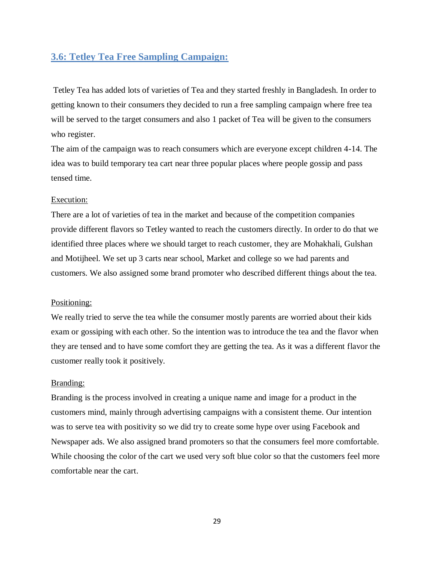## <span id="page-28-0"></span>**3.6: Tetley Tea Free Sampling Campaign:**

Tetley Tea has added lots of varieties of Tea and they started freshly in Bangladesh. In order to getting known to their consumers they decided to run a free sampling campaign where free tea will be served to the target consumers and also 1 packet of Tea will be given to the consumers who register.

The aim of the campaign was to reach consumers which are everyone except children 4-14. The idea was to build temporary tea cart near three popular places where people gossip and pass tensed time.

#### Execution:

There are a lot of varieties of tea in the market and because of the competition companies provide different flavors so Tetley wanted to reach the customers directly. In order to do that we identified three places where we should target to reach customer, they are Mohakhali, Gulshan and Motijheel. We set up 3 carts near school, Market and college so we had parents and customers. We also assigned some brand promoter who described different things about the tea.

#### Positioning:

We really tried to serve the tea while the consumer mostly parents are worried about their kids exam or gossiping with each other. So the intention was to introduce the tea and the flavor when they are tensed and to have some comfort they are getting the tea. As it was a different flavor the customer really took it positively.

#### Branding:

Branding is the process involved in creating a unique name and image for a product in the customers mind, mainly through advertising campaigns with a consistent theme. Our intention was to serve tea with positivity so we did try to create some hype over using Facebook and Newspaper ads. We also assigned brand promoters so that the consumers feel more comfortable. While choosing the color of the cart we used very soft blue color so that the customers feel more comfortable near the cart.

29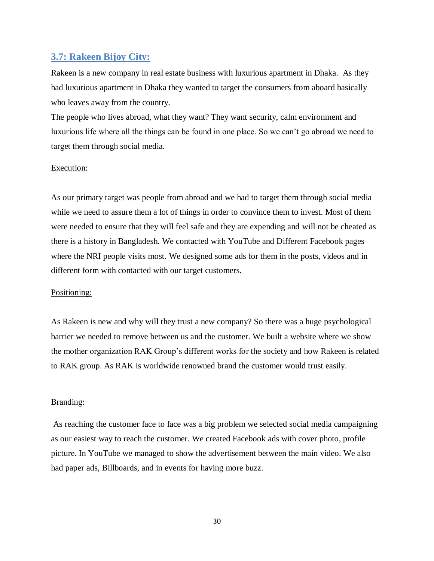## <span id="page-29-0"></span>**3.7: Rakeen Bijoy City:**

Rakeen is a new company in real estate business with luxurious apartment in Dhaka. As they had luxurious apartment in Dhaka they wanted to target the consumers from aboard basically who leaves away from the country.

The people who lives abroad, what they want? They want security, calm environment and luxurious life where all the things can be found in one place. So we can't go abroad we need to target them through social media.

#### Execution:

As our primary target was people from abroad and we had to target them through social media while we need to assure them a lot of things in order to convince them to invest. Most of them were needed to ensure that they will feel safe and they are expending and will not be cheated as there is a history in Bangladesh. We contacted with YouTube and Different Facebook pages where the NRI people visits most. We designed some ads for them in the posts, videos and in different form with contacted with our target customers.

#### Positioning:

As Rakeen is new and why will they trust a new company? So there was a huge psychological barrier we needed to remove between us and the customer. We built a website where we show the mother organization RAK Group's different works for the society and how Rakeen is related to RAK group. As RAK is worldwide renowned brand the customer would trust easily.

#### Branding:

As reaching the customer face to face was a big problem we selected social media campaigning as our easiest way to reach the customer. We created Facebook ads with cover photo, profile picture. In YouTube we managed to show the advertisement between the main video. We also had paper ads, Billboards, and in events for having more buzz.

30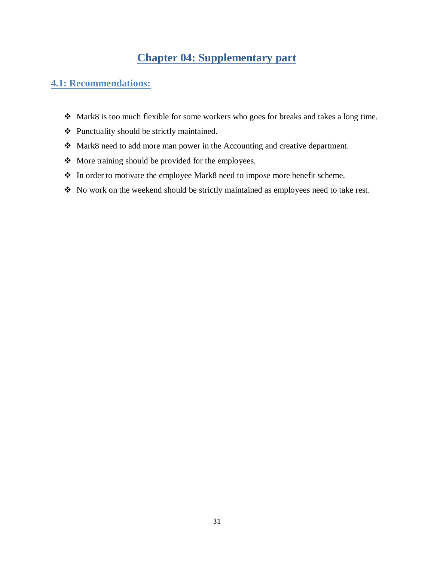# **Chapter 04: Supplementary part**

# <span id="page-30-1"></span><span id="page-30-0"></span>**4.1: Recommendations:**

- Mark8 is too much flexible for some workers who goes for breaks and takes a long time.
- Punctuality should be strictly maintained.
- Mark8 need to add more man power in the Accounting and creative department.
- More training should be provided for the employees.
- In order to motivate the employee Mark8 need to impose more benefit scheme.
- No work on the weekend should be strictly maintained as employees need to take rest.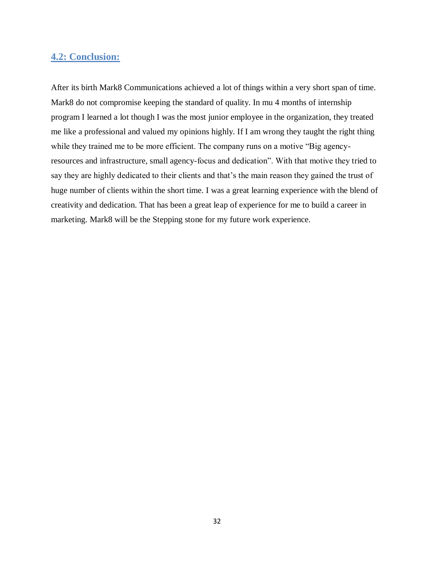# <span id="page-31-0"></span>**4.2: Conclusion:**

After its birth Mark8 Communications achieved a lot of things within a very short span of time. Mark8 do not compromise keeping the standard of quality. In mu 4 months of internship program I learned a lot though I was the most junior employee in the organization, they treated me like a professional and valued my opinions highly. If I am wrong they taught the right thing while they trained me to be more efficient. The company runs on a motive "Big agencyresources and infrastructure, small agency-focus and dedication". With that motive they tried to say they are highly dedicated to their clients and that's the main reason they gained the trust of huge number of clients within the short time. I was a great learning experience with the blend of creativity and dedication. That has been a great leap of experience for me to build a career in marketing. Mark8 will be the Stepping stone for my future work experience.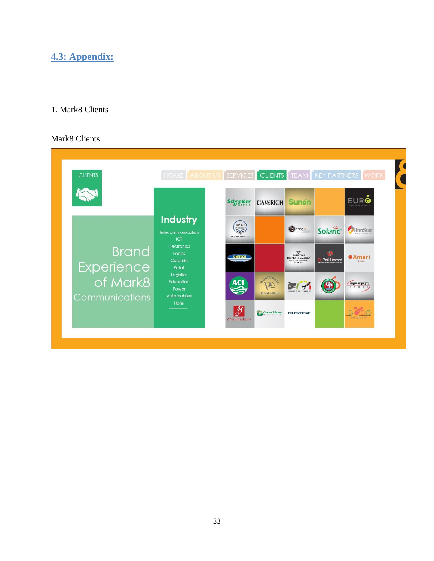# <span id="page-32-0"></span>**4.3: Appendix:**

## 1. Mark8 Clients

## Mark8 Clients